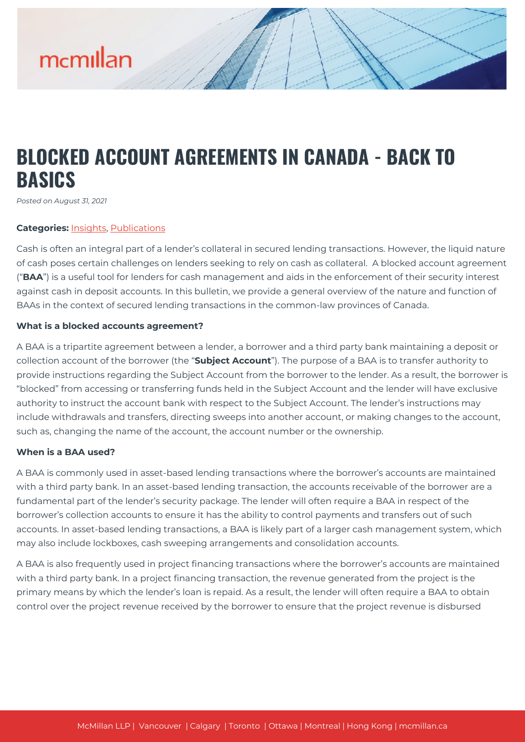# mcmillan

### **BLOCKED ACCOUNT AGREEMENTS IN CANADA - BACK TO BASICS**

*Posted on August 31, 2021*

#### **Categories:** [Insights,](https://mcmillan.ca/insights/) [Publications](https://mcmillan.ca/insights/publications/)

Cash is often an integral part of a lender's collateral in secured lending transactions. However, the liquid nature of cash poses certain challenges on lenders seeking to rely on cash as collateral. A blocked account agreement ("**BAA**") is a useful tool for lenders for cash management and aids in the enforcement of their security interest against cash in deposit accounts. In this bulletin, we provide a general overview of the nature and function of BAAs in the context of secured lending transactions in the common-law provinces of Canada.

#### **What is a blocked accounts agreement?**

A BAA is a tripartite agreement between a lender, a borrower and a third party bank maintaining a deposit or collection account of the borrower (the "**Subject Account**"). The purpose of a BAA is to transfer authority to provide instructions regarding the Subject Account from the borrower to the lender. As a result, the borrower is "blocked" from accessing or transferring funds held in the Subject Account and the lender will have exclusive authority to instruct the account bank with respect to the Subject Account. The lender's instructions may include withdrawals and transfers, directing sweeps into another account, or making changes to the account, such as, changing the name of the account, the account number or the ownership.

#### **When is a BAA used?**

A BAA is commonly used in asset-based lending transactions where the borrower's accounts are maintained with a third party bank. In an asset-based lending transaction, the accounts receivable of the borrower are a fundamental part of the lender's security package. The lender will often require a BAA in respect of the borrower's collection accounts to ensure it has the ability to control payments and transfers out of such accounts. In asset-based lending transactions, a BAA is likely part of a larger cash management system, which may also include lockboxes, cash sweeping arrangements and consolidation accounts.

A BAA is also frequently used in project financing transactions where the borrower's accounts are maintained with a third party bank. In a project financing transaction, the revenue generated from the project is the primary means by which the lender's loan is repaid. As a result, the lender will often require a BAA to obtain control over the project revenue received by the borrower to ensure that the project revenue is disbursed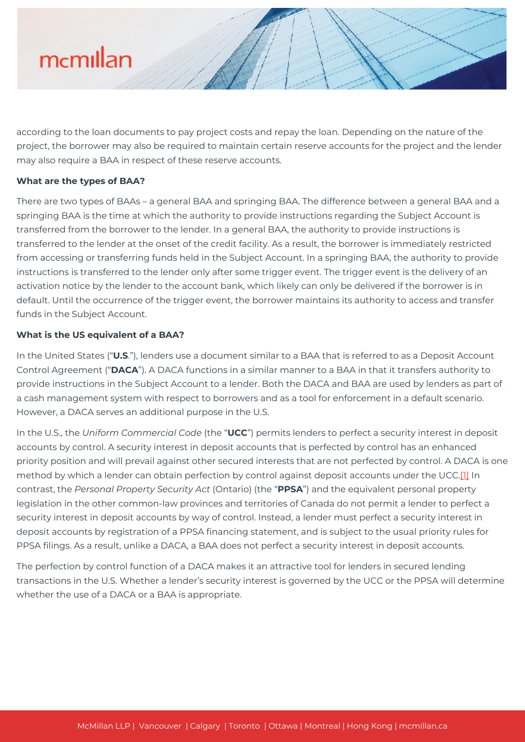

according to the loan documents to pay project costs and repay the loan. Depending on the nature of the project, the borrower may also be required to maintain certain reserve accounts for the project and the lender may also require a BAA in respect of these reserve accounts.

#### **What are the types of BAA?**

There are two types of BAAs – a general BAA and springing BAA. The difference between a general BAA and a springing BAA is the time at which the authority to provide instructions regarding the Subject Account is transferred from the borrower to the lender. In a general BAA, the authority to provide instructions is transferred to the lender at the onset of the credit facility. As a result, the borrower is immediately restricted from accessing or transferring funds held in the Subject Account. In a springing BAA, the authority to provide instructions is transferred to the lender only after some trigger event. The trigger event is the delivery of an activation notice by the lender to the account bank, which likely can only be delivered if the borrower is in default. Until the occurrence of the trigger event, the borrower maintains its authority to access and transfer funds in the Subject Account.

#### **What is the US equivalent of a BAA?**

In the United States ("**U.S**."), lenders use a document similar to a BAA that is referred to as a Deposit Account Control Agreement ("**DACA**"). A DACA functions in a similar manner to a BAA in that it transfers authority to provide instructions in the Subject Account to a lender. Both the DACA and BAA are used by lenders as part of a cash management system with respect to borrowers and as a tool for enforcement in a default scenario. However, a DACA serves an additional purpose in the U.S.

In the U.S., the *Uniform Commercial Code* (the "**UCC**") permits lenders to perfect a security interest in deposit accounts by control. A security interest in deposit accounts that is perfected by control has an enhanced priority position and will prevail against other secured interests that are not perfected by control. A DACA is one method by which a lender can obtain perfection by control against deposit accounts under the UCC.<sup>[1]</sup> In contrast, the *Personal Property Security Act* (Ontario) (the "**PPSA**") and the equivalent personal property legislation in the other common-law provinces and territories of Canada do not permit a lender to perfect a security interest in deposit accounts by way of control. Instead, a lender must perfect a security interest in deposit accounts by registration of a PPSA financing statement, and is subject to the usual priority rules for PPSA filings. As a result, unlike a DACA, a BAA does not perfect a security interest in deposit accounts.

The perfection by control function of a DACA makes it an attractive tool for lenders in secured lending transactions in the U.S. Whether a lender's security interest is governed by the UCC or the PPSA will determine whether the use of a DACA or a BAA is appropriate.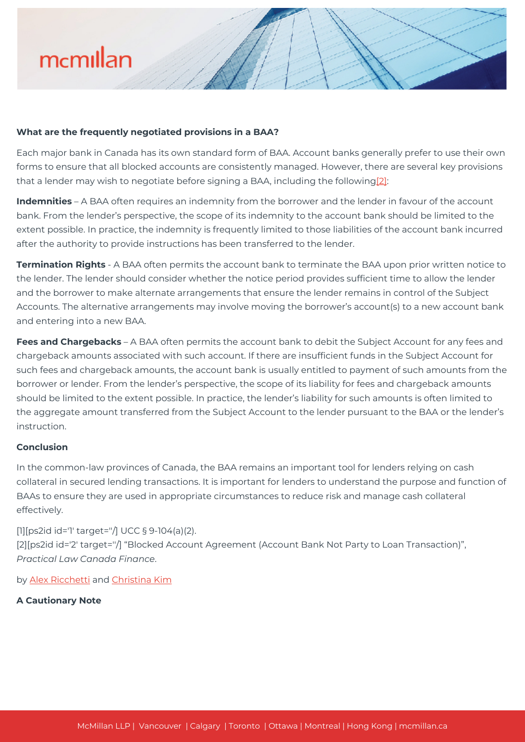## mcmillan

#### **What are the frequently negotiated provisions in a BAA?**

Each major bank in Canada has its own standard form of BAA. Account banks generally prefer to use their own forms to ensure that all blocked accounts are consistently managed. However, there are several key provisions that a lender may wish to negotiate before signing a BAA, including the following[\[2\]:](#page--1-0)

**Indemnities** – A BAA often requires an indemnity from the borrower and the lender in favour of the account bank. From the lender's perspective, the scope of its indemnity to the account bank should be limited to the extent possible. In practice, the indemnity is frequently limited to those liabilities of the account bank incurred after the authority to provide instructions has been transferred to the lender.

**Termination Rights** - A BAA often permits the account bank to terminate the BAA upon prior written notice to the lender. The lender should consider whether the notice period provides sufficient time to allow the lender and the borrower to make alternate arrangements that ensure the lender remains in control of the Subject Accounts. The alternative arrangements may involve moving the borrower's account(s) to a new account bank and entering into a new BAA.

**Fees and Chargebacks** – A BAA often permits the account bank to debit the Subject Account for any fees and chargeback amounts associated with such account. If there are insufficient funds in the Subject Account for such fees and chargeback amounts, the account bank is usually entitled to payment of such amounts from the borrower or lender. From the lender's perspective, the scope of its liability for fees and chargeback amounts should be limited to the extent possible. In practice, the lender's liability for such amounts is often limited to the aggregate amount transferred from the Subject Account to the lender pursuant to the BAA or the lender's instruction.

#### **Conclusion**

In the common-law provinces of Canada, the BAA remains an important tool for lenders relying on cash collateral in secured lending transactions. It is important for lenders to understand the purpose and function of BAAs to ensure they are used in appropriate circumstances to reduce risk and manage cash collateral effectively.

[1][ps2id id='1' target=''/] UCC § 9-104(a)(2). [2][ps2id id='2' target=''/] "Blocked Account Agreement (Account Bank Not Party to Loan Transaction)", *Practical Law Canada Finance*.

by [Alex Ricchetti](https://mcmillan.ca/people/alex-ricchetti/) and [Christina Kim](https://mcmillan.ca/people/christina-kim/)

#### **A Cautionary Note**